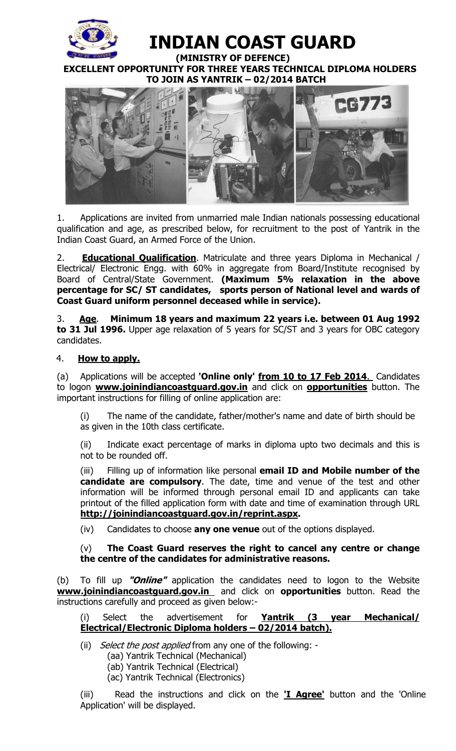

# **INDIAN COAST GUARD**

 **(MINISTRY OF DEFENCE) EXCELLENT OPPORTUNITY FOR THREE YEARS TECHNICAL DIPLOMA HOLDERS TO JOIN AS YANTRIK – 02/2014 BATCH** 



1. Applications are invited from unmarried male Indian nationals possessing educational qualification and age, as prescribed below, for recruitment to the post of Yantrik in the Indian Coast Guard, an Armed Force of the Union.

2. **Educational Qualification**. Matriculate and three years Diploma in Mechanical / Electrical/ Electronic Engg. with 60% in aggregate from Board/Institute recognised by Board of Central/State Government. **(Maximum 5% relaxation in the above percentage for SC/ ST candidates, sports person of National level and wards of Coast Guard uniform personnel deceased while in service).** 

3. **Age**. **Minimum 18 years and maximum 22 years i.e. between 01 Aug 1992 to 31 Jul 1996.** Upper age relaxation of 5 years for SC/ST and 3 years for OBC category candidates.

## 4. **How to apply.**

(a) Applications will be accepted **'Online only' from 10 to 17 Feb 2014**. Candidates to logon **www.joinindiancoastguard.gov.in** and click on **opportunities** button. The important instructions for filling of online application are:

(i) The name of the candidate, father/mother's name and date of birth should be as given in the 10th class certificate.

(ii) Indicate exact percentage of marks in diploma upto two decimals and this is not to be rounded off.

(iii) Filling up of information like personal **email ID and Mobile number of the candidate are compulsory**. The date, time and venue of the test and other information will be informed through personal email ID and applicants can take printout of the filled application form with date and time of examination through URL **http://joinindiancoastguard.gov.in/reprint.aspx.** 

(iv) Candidates to choose **any one venue** out of the options displayed.

## (v) **The Coast Guard reserves the right to cancel any centre or change the centre of the candidates for administrative reasons.**

(b) To fill up **"Online"** application the candidates need to logon to the Website **www.joinindiancoastguard.gov.in** and click on **opportunities** button. Read the instructions carefully and proceed as given below:-

# (i) Select the advertisement for **Yantrik (3 year Mechanical/ Electrical/Electronic Diploma holders – 02/2014 batch).**

(ii) Select the post applied from any one of the following: -

- (aa) Yantrik Technical (Mechanical)
- (ab) Yantrik Technical (Electrical)
- (ac) Yantrik Technical (Electronics )

(iii) Read the instructions and click on the **'I Agree'** button and the 'Online Application' will be displayed.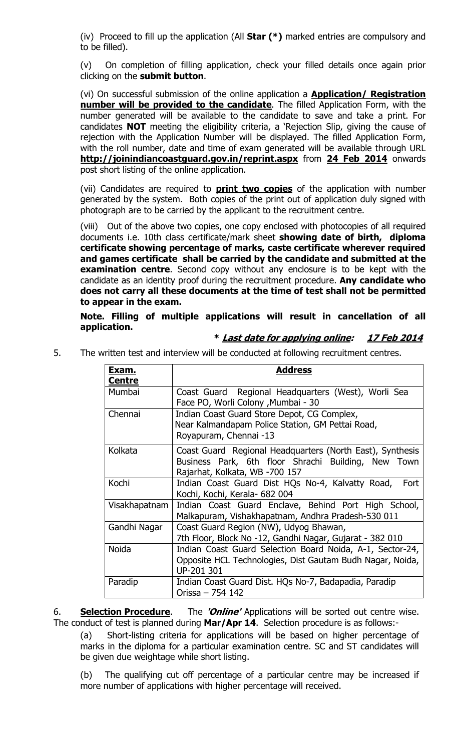(iv) Proceed to fill up the application (All **Star (\*)** marked entries are compulsory and to be filled).

(v) On completion of filling application, check your filled details once again prior clicking on the **submit button**.

(vi) On successful submission of the online application a **Application/ Registration number will be provided to the candidate**. The filled Application Form, with the number generated will be available to the candidate to save and take a print. For candidates **NOT** meeting the eligibility criteria, a 'Rejection Slip, giving the cause of rejection with the Application Number will be displayed. The filled Application Form, with the roll number, date and time of exam generated will be available through URL **http://joinindiancoastguard.gov.in/reprint.aspx** from **24 Feb 2014** onwards post short listing of the online application.

(vii) Candidates are required to **print two copies** of the application with number generated by the system. Both copies of the print out of application duly signed with photograph are to be carried by the applicant to the recruitment centre.

(viii) Out of the above two copies, one copy enclosed with photocopies of all required documents i.e. 10th class certificate/mark sheet **showing date of birth, diploma certificate showing percentage of marks, caste certificate wherever required and games certificate shall be carried by the candidate and submitted at the examination centre**. Second copy without any enclosure is to be kept with the candidate as an identity proof during the recruitment procedure. **Any candidate who does not carry all these documents at the time of test shall not be permitted to appear in the exam.** 

**Note. Filling of multiple applications will result in cancellation of all application.** 

#### **\* Last date for applying online: 17 Feb 2014**

5. The written test and interview will be conducted at following recruitment centres.

| <u>Exam.</u><br><b>Centre</b> | <b>Address</b>                                                                                                                                     |
|-------------------------------|----------------------------------------------------------------------------------------------------------------------------------------------------|
| Mumbai                        | Coast Guard Regional Headquarters (West), Worli Sea<br>Face PO, Worli Colony, Mumbai - 30                                                          |
| Chennai                       | Indian Coast Guard Store Depot, CG Complex,<br>Near Kalmandapam Police Station, GM Pettai Road,<br>Royapuram, Chennai -13                          |
| Kolkata                       | Coast Guard Regional Headquarters (North East), Synthesis<br>Business Park, 6th floor Shrachi Building, New Town<br>Rajarhat, Kolkata, WB -700 157 |
| Kochi                         | Indian Coast Guard Dist HQs No-4, Kalvatty Road,<br>Fort<br>Kochi, Kochi, Kerala- 682 004                                                          |
| Visakhapatnam                 | Indian Coast Guard Enclave, Behind Port High School,<br>Malkapuram, Vishakhapatnam, Andhra Pradesh-530 011                                         |
| Gandhi Nagar                  | Coast Guard Region (NW), Udyog Bhawan,<br>7th Floor, Block No -12, Gandhi Nagar, Gujarat - 382 010                                                 |
| <b>Noida</b>                  | Indian Coast Guard Selection Board Noida, A-1, Sector-24,<br>Opposite HCL Technologies, Dist Gautam Budh Nagar, Noida,<br>UP-201 301               |
| Paradip                       | Indian Coast Guard Dist. HQs No-7, Badapadia, Paradip<br>Orissa - 754 142                                                                          |

6. **Selection Procedure**. The **'Online'** Applications will be sorted out centre wise. The conduct of test is planned during **Mar/Apr 14**. Selection procedure is as follows:-

(a) Short-listing criteria for applications will be based on higher percentage of marks in the diploma for a particular examination centre. SC and ST candidates will be given due weightage while short listing.

(b) The qualifying cut off percentage of a particular centre may be increased if more number of applications with higher percentage will received.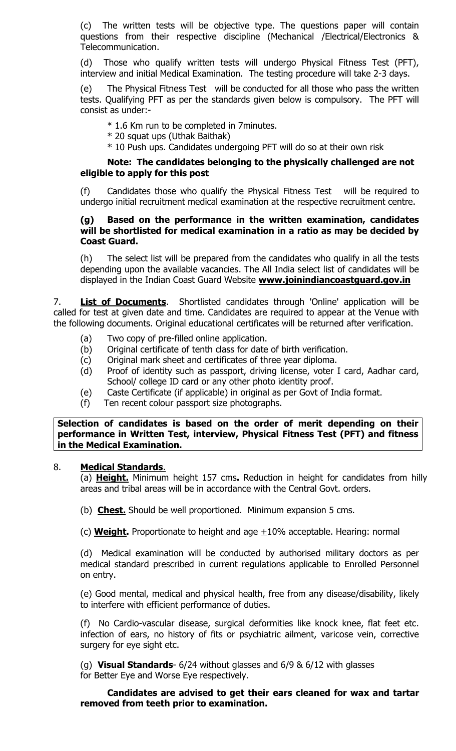(c) The written tests will be objective type. The questions paper will contain questions from their respective discipline (Mechanical /Electrical/Electronics & Telecommunication.

(d) Those who qualify written tests will undergo Physical Fitness Test (PFT), interview and initial Medical Examination. The testing procedure will take 2-3 days.

(e) The Physical Fitness Test will be conducted for all those who pass the written tests. Qualifying PFT as per the standards given below is compulsory. The PFT will consist as under:-

- \* 1.6 Km run to be completed in 7minutes.
- \* 20 squat ups (Uthak Baithak)
- \* 10 Push ups. Candidates undergoing PFT will do so at their own risk

#### **Note: The candidates belonging to the physically challenged are not eligible to apply for this post**

(f) Candidates those who qualify the Physical Fitness Test will be required to undergo initial recruitment medical examination at the respective recruitment centre.

#### **(g) Based on the performance in the written examination, candidates will be shortlisted for medical examination in a ratio as may be decided by Coast Guard.**

(h) The select list will be prepared from the candidates who qualify in all the tests depending upon the available vacancies. The All India select list of candidates will be displayed in the Indian Coast Guard Website **www.joinindiancoastguard.gov.in**

7. **List of Documents**. Shortlisted candidates through 'Online' application will be called for test at given date and time. Candidates are required to appear at the Venue with the following documents. Original educational certificates will be returned after verification.

- (a) Two copy of pre-filled online application.
- (b) Original certificate of tenth class for date of birth verification.
- (c) Original mark sheet and certificates of three year diploma.
- (d) Proof of identity such as passport, driving license, voter I card, Aadhar card, School/ college ID card or any other photo identity proof.
- (e) Caste Certificate (if applicable) in original as per Govt of India format.
- (f) Ten recent colour passport size photographs.

**Selection of candidates is based on the order of merit depending on their performance in Written Test, interview, Physical Fitness Test (PFT) and fitness in the Medical Examination.** 

#### 8. **Medical Standards**.

(a) **Height.** Minimum height 157 cms**.** Reduction in height for candidates from hilly areas and tribal areas will be in accordance with the Central Govt. orders.

(b) **Chest.** Should be well proportioned. Minimum expansion 5 cms.

(c) **Weight.** Proportionate to height and age  $\pm 10\%$  acceptable. Hearing: normal

(d) Medical examination will be conducted by authorised military doctors as per medical standard prescribed in current regulations applicable to Enrolled Personnel on entry.

(e) Good mental, medical and physical health, free from any disease/disability, likely to interfere with efficient performance of duties.

(f) No Cardio-vascular disease, surgical deformities like knock knee, flat feet etc. infection of ears, no history of fits or psychiatric ailment, varicose vein, corrective surgery for eye sight etc.

(g) **Visual Standards**- 6/24 without glasses and 6/9 & 6/12 with glasses for Better Eye and Worse Eye respectively.

 **Candidates are advised to get their ears cleaned for wax and tartar removed from teeth prior to examination.**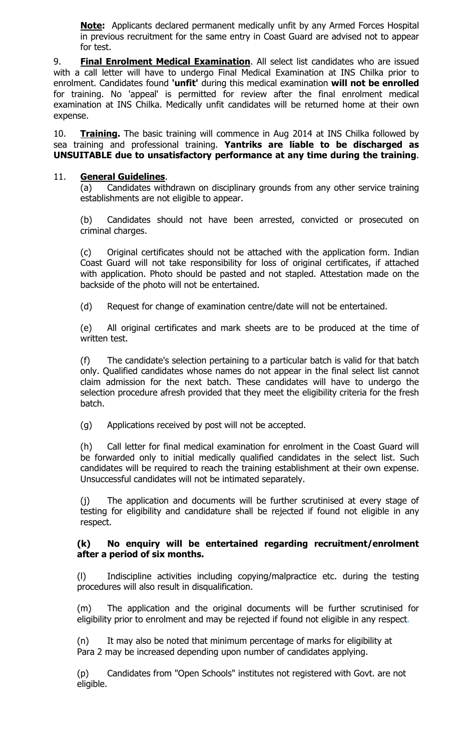**Note:** Applicants declared permanent medically unfit by any Armed Forces Hospital in previous recruitment for the same entry in Coast Guard are advised not to appear for test.

9. **Final Enrolment Medical Examination**. All select list candidates who are issued with a call letter will have to undergo Final Medical Examination at INS Chilka prior to enrolment. Candidates found **'unfit'** during this medical examination **will not be enrolled**  for training. No 'appeal' is permitted for review after the final enrolment medical examination at INS Chilka. Medically unfit candidates will be returned home at their own expense.

10. **Training.** The basic training will commence in Aug 2014 at INS Chilka followed by sea training and professional training. **Yantriks are liable to be discharged as UNSUITABLE due to unsatisfactory performance at any time during the training**.

#### 11. **General Guidelines**.

(a) Candidates withdrawn on disciplinary grounds from any other service training establishments are not eligible to appear.

(b) Candidates should not have been arrested, convicted or prosecuted on criminal charges.

(c) Original certificates should not be attached with the application form. Indian Coast Guard will not take responsibility for loss of original certificates, if attached with application. Photo should be pasted and not stapled. Attestation made on the backside of the photo will not be entertained.

(d) Request for change of examination centre/date will not be entertained.

(e) All original certificates and mark sheets are to be produced at the time of written test.

 (f) The candidate's selection pertaining to a particular batch is valid for that batch only. Qualified candidates whose names do not appear in the final select list cannot claim admission for the next batch. These candidates will have to undergo the selection procedure afresh provided that they meet the eligibility criteria for the fresh batch.

(g) Applications received by post will not be accepted.

(h) Call letter for final medical examination for enrolment in the Coast Guard will be forwarded only to initial medically qualified candidates in the select list. Such candidates will be required to reach the training establishment at their own expense. Unsuccessful candidates will not be intimated separately.

(j) The application and documents will be further scrutinised at every stage of testing for eligibility and candidature shall be rejected if found not eligible in any respect.

#### **(k) No enquiry will be entertained regarding recruitment/enrolment after a period of six months.**

(l) Indiscipline activities including copying/malpractice etc. during the testing procedures will also result in disqualification.

(m) The application and the original documents will be further scrutinised for eligibility prior to enrolment and may be rejected if found not eligible in any respect.

(n) It may also be noted that minimum percentage of marks for eligibility at Para 2 may be increased depending upon number of candidates applying.

(p) Candidates from "Open Schools" institutes not registered with Govt. are not eligible.